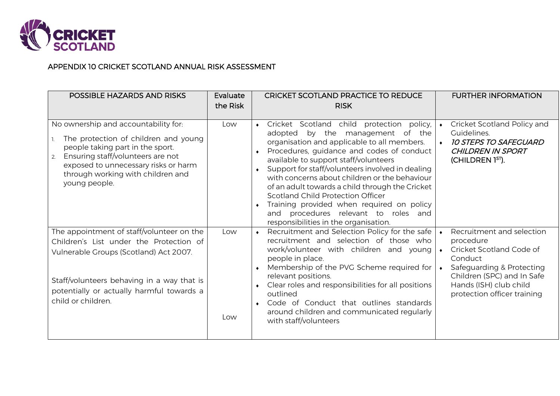

## APPENDIX 10 CRICKET SCOTLAND ANNUAL RISK ASSESSMENT

| POSSIBLE HAZARDS AND RISKS                                                                                                                                                                                                                                | Evaluate<br>the Risk | <b>CRICKET SCOTLAND PRACTICE TO REDUCE</b><br><b>RISK</b>                                                                                                                                                                                                                                                                                                                                                                                                                                                                                                     | <b>FURTHER INFORMATION</b>                                                                                                                                                                                                               |
|-----------------------------------------------------------------------------------------------------------------------------------------------------------------------------------------------------------------------------------------------------------|----------------------|---------------------------------------------------------------------------------------------------------------------------------------------------------------------------------------------------------------------------------------------------------------------------------------------------------------------------------------------------------------------------------------------------------------------------------------------------------------------------------------------------------------------------------------------------------------|------------------------------------------------------------------------------------------------------------------------------------------------------------------------------------------------------------------------------------------|
| No ownership and accountability for:<br>The protection of children and young<br>people taking part in the sport.<br>Ensuring staff/volunteers are not<br>2.<br>exposed to unnecessary risks or harm<br>through working with children and<br>young people. | Low                  | Cricket Scotland child<br>protection policy,<br>$\bullet$<br>adopted by the management of the<br>organisation and applicable to all members.<br>Procedures, guidance and codes of conduct<br>available to support staff/volunteers<br>Support for staff/volunteers involved in dealing<br>with concerns about children or the behaviour<br>of an adult towards a child through the Cricket<br>Scotland Child Protection Officer<br>Training provided when required on policy<br>and procedures relevant to roles and<br>responsibilities in the organisation. | Cricket Scotland Policy and<br>$\bullet$<br>Guidelines.<br><b>10 STEPS TO SAFEGUARD</b><br>$\bullet$<br><b>CHILDREN IN SPORT</b><br>(CHILDREN 1 <sup>ST</sup> ).                                                                         |
| The appointment of staff/volunteer on the<br>Children's List under the Protection of<br>Vulnerable Groups (Scotland) Act 2007.<br>Staff/volunteers behaving in a way that is<br>potentially or actually harmful towards a<br>child or children.           | Low<br>Low           | Recruitment and Selection Policy for the safe<br>recruitment and selection of those who<br>work/volunteer with children and young<br>people in place.<br>Membership of the PVG Scheme required for<br>relevant positions.<br>Clear roles and responsibilities for all positions<br>outlined<br>Code of Conduct that outlines standards<br>around children and communicated regularly<br>with staff/volunteers                                                                                                                                                 | Recruitment and selection<br>$\bullet$<br>procedure<br>Cricket Scotland Code of<br>$\bullet$<br>Conduct<br>Safeguarding & Protecting<br>$\bullet$<br>Children (SPC) and In Safe<br>Hands (ISH) club child<br>protection officer training |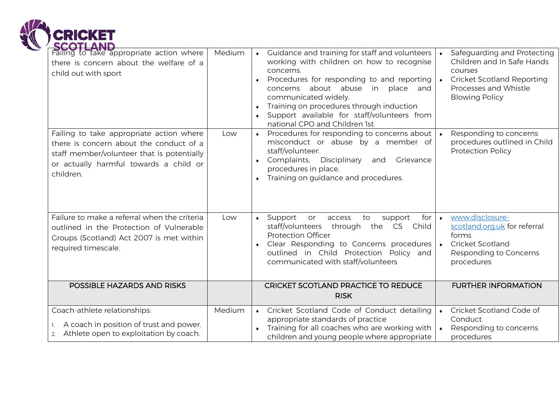

| <b>SCOTLAND</b><br>Failing to take appropriate action where<br>there is concern about the welfare of a<br>child out with sport                                                           | Medium | • Guidance and training for staff and volunteers<br>working with children on how to recognise<br>concerns.<br>Procedures for responding to and reporting<br>concerns about abuse in place and<br>communicated widely.<br>Training on procedures through induction<br>$\bullet$<br>Support available for staff/volunteers from<br>national CPO and Children 1st | Safeguarding and Protecting<br>$\bullet$<br>Children and In Safe Hands<br>courses<br><b>Cricket Scotland Reporting</b><br>$\blacklozenge$<br>Processes and Whistle<br><b>Blowing Policy</b> |
|------------------------------------------------------------------------------------------------------------------------------------------------------------------------------------------|--------|----------------------------------------------------------------------------------------------------------------------------------------------------------------------------------------------------------------------------------------------------------------------------------------------------------------------------------------------------------------|---------------------------------------------------------------------------------------------------------------------------------------------------------------------------------------------|
| Failing to take appropriate action where<br>there is concern about the conduct of a<br>staff member/volunteer that is potentially<br>or actually harmful towards a child or<br>children. | Low    | Procedures for responding to concerns about<br>misconduct or abuse by a member of<br>staff/volunteer.<br>Complaints,<br>Disciplinary<br>Grievance<br>and<br>procedures in place.<br>Training on guidance and procedures.<br>$\bullet$                                                                                                                          | Responding to concerns<br>procedures outlined in Child<br><b>Protection Policy</b>                                                                                                          |
| Failure to make a referral when the criteria<br>outlined in the Protection of Vulnerable<br>Groups (Scotland) Act 2007 is met within<br>required timescale.                              | Low    | Support<br>for<br>access<br>to<br>support<br>or<br>$\bullet$<br>staff/volunteers through<br>the CS Child<br><b>Protection Officer</b><br>Clear Responding to Concerns procedures<br>outlined in Child Protection Policy and<br>communicated with staff/volunteers                                                                                              | www.disclosure-<br>$\bullet$<br>scotland.org.uk for referral<br>forms<br><b>Cricket Scotland</b><br>$\bullet$<br>Responding to Concerns<br>procedures                                       |
| POSSIBLE HAZARDS AND RISKS                                                                                                                                                               |        | CRICKET SCOTLAND PRACTICE TO REDUCE<br><b>RISK</b>                                                                                                                                                                                                                                                                                                             | <b>FURTHER INFORMATION</b>                                                                                                                                                                  |
| Coach-athlete relationships:<br>A coach in position of trust and power.<br>Athlete open to exploitation by coach.<br>2.                                                                  | Medium | Cricket Scotland Code of Conduct detailing<br>appropriate standards of practice<br>Training for all coaches who are working with<br>children and young people where appropriate                                                                                                                                                                                | Cricket Scotland Code of<br>$\bullet$<br>Conduct<br>Responding to concerns<br>$\bullet$<br>procedures                                                                                       |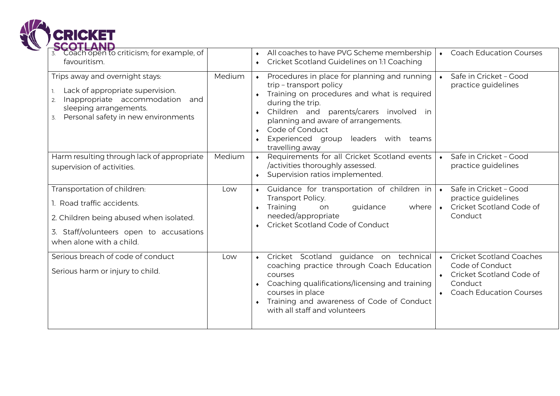

| 3. Coach open to criticism; for example, of<br>favouritism.                                                                                                                            |        | All coaches to have PVG Scheme membership<br><b>Coach Education Courses</b><br>$\bullet$<br>Cricket Scotland Guidelines on 1:1 Coaching<br>$\bullet$                                                                                                                                                                                                                                      |
|----------------------------------------------------------------------------------------------------------------------------------------------------------------------------------------|--------|-------------------------------------------------------------------------------------------------------------------------------------------------------------------------------------------------------------------------------------------------------------------------------------------------------------------------------------------------------------------------------------------|
| Trips away and overnight stays:<br>Lack of appropriate supervision.<br>Inappropriate accommodation<br>and<br>2.<br>sleeping arrangements.<br>Personal safety in new environments<br>3. | Medium | Procedures in place for planning and running<br>Safe in Cricket - Good<br>$\bullet$<br>$\bullet$<br>trip - transport policy<br>practice guidelines<br>Training on procedures and what is required<br>during the trip.<br>Children and parents/carers involved in<br>planning and aware of arrangements.<br>Code of Conduct<br>Experienced group leaders with teams<br>travelling away     |
| Harm resulting through lack of appropriate<br>supervision of activities.                                                                                                               | Medium | Requirements for all Cricket Scotland events<br>• Safe in Cricket - Good<br>$\bullet$<br>/activities thoroughly assessed.<br>practice guidelines<br>Supervision ratios implemented.<br>$\bullet$                                                                                                                                                                                          |
| Transportation of children:<br>1. Road traffic accidents.<br>2. Children being abused when isolated.<br>3. Staff/volunteers open to accusations<br>when alone with a child.            | Low    | • Safe in Cricket - Good<br>Guidance for transportation of children in<br>practice guidelines<br>Transport Policy.<br>Cricket Scotland Code of<br>Training<br>guidance<br>where<br>on<br>$\blacklozenge$<br>needed/appropriate<br>Conduct<br>Cricket Scotland Code of Conduct                                                                                                             |
| Serious breach of code of conduct<br>Serious harm or injury to child.                                                                                                                  | Low    | Cricket Scotland Coaches<br>Cricket Scotland guidance on technical<br>$\bullet$<br>Code of Conduct<br>coaching practice through Coach Education<br>• Cricket Scotland Code of<br>courses<br>Coaching qualifications/licensing and training<br>Conduct<br><b>Coach Education Courses</b><br>courses in place<br>Training and awareness of Code of Conduct<br>with all staff and volunteers |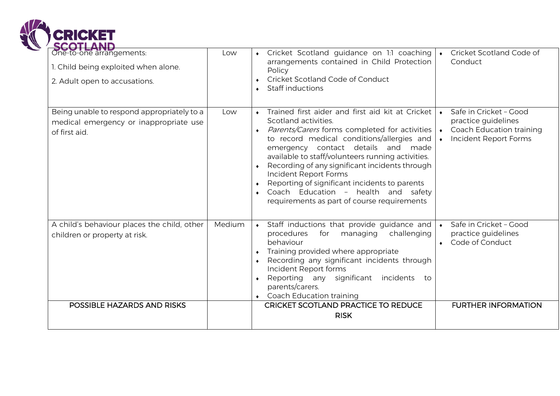

| <b>SCOTLAND</b><br>One-to-one arrangements:<br>1. Child being exploited when alone.<br>2. Adult open to accusations. | Low    | Cricket Scotland guidance on 1:1 coaching<br>arrangements contained in Child Protection<br>Policy<br>Cricket Scotland Code of Conduct<br><b>Staff inductions</b>                                                                                                                                                                                                                                                                                                                        | Cricket Scotland Code of<br>Conduct                                                                                                       |
|----------------------------------------------------------------------------------------------------------------------|--------|-----------------------------------------------------------------------------------------------------------------------------------------------------------------------------------------------------------------------------------------------------------------------------------------------------------------------------------------------------------------------------------------------------------------------------------------------------------------------------------------|-------------------------------------------------------------------------------------------------------------------------------------------|
| Being unable to respond appropriately to a<br>medical emergency or inappropriate use<br>of first aid.                | Low    | Trained first aider and first aid kit at Cricket<br>Scotland activities.<br>Parents/Carers forms completed for activities<br>to record medical conditions/allergies and<br>emergency contact details and<br>made<br>available to staff/volunteers running activities.<br>Recording of any significant incidents through<br>Incident Report Forms<br>Reporting of significant incidents to parents<br>Coach Education - health and safety<br>requirements as part of course requirements | Safe in Cricket - Good<br>$\bullet$<br>practice guidelines<br>Coach Education training<br>$\bullet$<br>Incident Report Forms<br>$\bullet$ |
| A child's behaviour places the child, other<br>children or property at risk.                                         | Medium | Staff inductions that provide guidance and<br>$\bullet$<br>procedures<br>for<br>managing<br>challenging<br>behaviour<br>Training provided where appropriate<br>Recording any significant incidents through<br>Incident Report forms<br>Reporting any significant<br>incidents<br>to<br>parents/carers.<br><b>Coach Education training</b>                                                                                                                                               | Safe in Cricket - Good<br>$\bullet$<br>practice guidelines<br>Code of Conduct<br>$\bullet$                                                |
| POSSIBLE HAZARDS AND RISKS                                                                                           |        | <b>CRICKET SCOTLAND PRACTICE TO REDUCE</b><br><b>RISK</b>                                                                                                                                                                                                                                                                                                                                                                                                                               | <b>FURTHER INFORMATION</b>                                                                                                                |
|                                                                                                                      |        |                                                                                                                                                                                                                                                                                                                                                                                                                                                                                         |                                                                                                                                           |